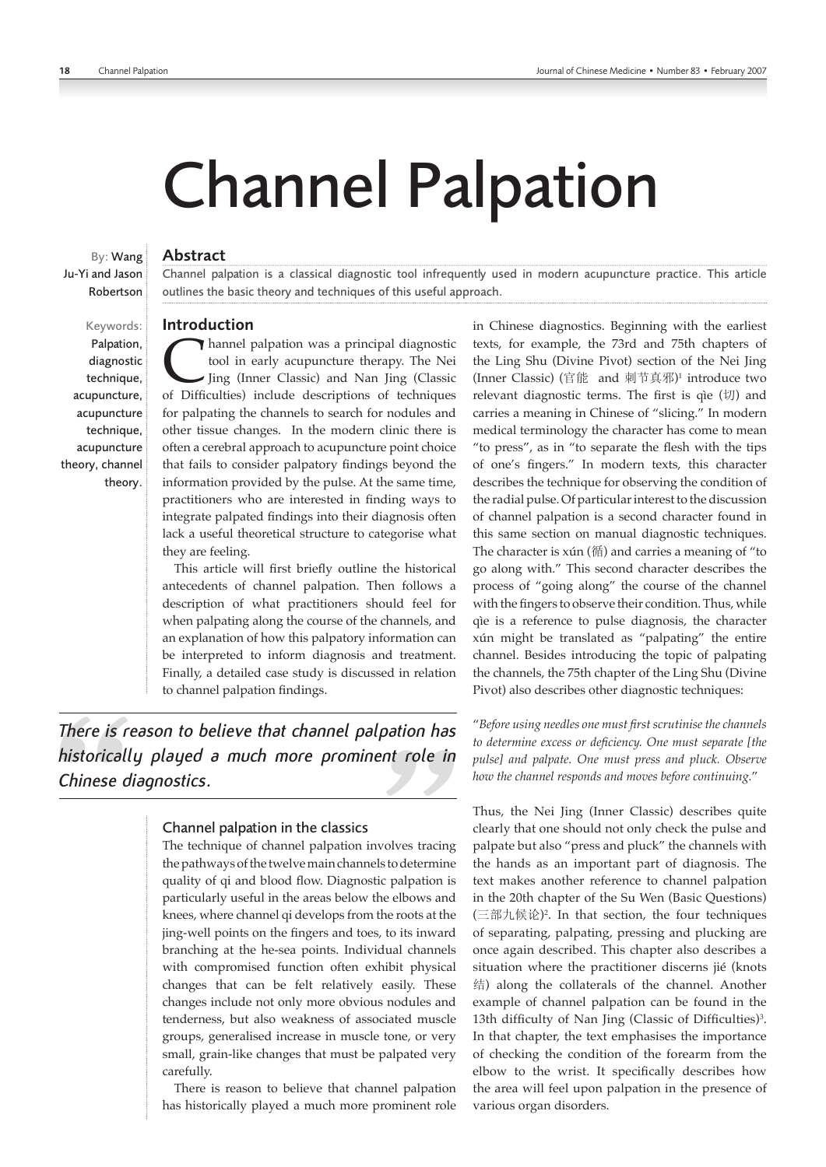By: Wang Ju-Yi and Jason Robertson

Keywords: Palpation, diagnostic technique, acupuncture, acupuncture technique, acupuncture theory, channel theory.

# Channel Palpation

## Abstract

Channel palpation is a classical diagnostic tool infrequently used in modern acupuncture practice. This article outlines the basic theory and techniques of this useful approach.

# Introduction

Thannel palpation was a principal diagnostic tool in early acupuncture therapy. The Nei Jing (Inner Classic) and Nan Jing (Classic of Difficulties) include descriptions of techniques for palpating the channels to search for nodules and other tissue changes. In the modern clinic there is often a cerebral approach to acupuncture point choice that fails to consider palpatory findings beyond the information provided by the pulse. At the same time, practitioners who are interested in finding ways to integrate palpated findings into their diagnosis often lack a useful theoretical structure to categorise what they are feeling.

This article will first briefly outline the historical antecedents of channel palpation. Then follows a description of what practitioners should feel for when palpating along the course of the channels, and an explanation of how this palpatory information can be interpreted to inform diagnosis and treatment. Finally, a detailed case study is discussed in relation to channel palpation findings.

*There is reason to believe that channel palpation has historically played a much more prominent role in Chinese diagnostics.*

## Channel palpation in the classics

The technique of channel palpation involves tracing the pathways of the twelve main channels to determine quality of qi and blood flow. Diagnostic palpation is particularly useful in the areas below the elbows and knees, where channel qi develops from the roots at the jing-well points on the fingers and toes, to its inward branching at the he-sea points. Individual channels with compromised function often exhibit physical changes that can be felt relatively easily. These changes include not only more obvious nodules and tenderness, but also weakness of associated muscle groups, generalised increase in muscle tone, or very small, grain-like changes that must be palpated very carefully.

There is reason to believe that channel palpation has historically played a much more prominent role in Chinese diagnostics. Beginning with the earliest texts, for example, the 73rd and 75th chapters of the Ling Shu (Divine Pivot) section of the Nei Jing (Inner Classic) (官能 and 刺节真邪)1 introduce two relevant diagnostic terms. The first is qìe (切) and carries a meaning in Chinese of "slicing." In modern medical terminology the character has come to mean "to press", as in "to separate the flesh with the tips of one's fingers." In modern texts, this character describes the technique for observing the condition of the radial pulse. Of particular interest to the discussion of channel palpation is a second character found in this same section on manual diagnostic techniques. The character is xún (循) and carries a meaning of "to go along with." This second character describes the process of "going along" the course of the channel with the fingers to observe their condition. Thus, while qìe is a reference to pulse diagnosis, the character xún might be translated as "palpating" the entire channel. Besides introducing the topic of palpating the channels, the 75th chapter of the Ling Shu (Divine Pivot) also describes other diagnostic techniques:

"*Before using needles one must first scrutinise the channels to determine excess or deficiency. One must separate [the pulse] and palpate. One must press and pluck. Observe how the channel responds and moves before continuing.*"

Thus, the Nei Jing (Inner Classic) describes quite clearly that one should not only check the pulse and palpate but also "press and pluck" the channels with the hands as an important part of diagnosis. The text makes another reference to channel palpation in the 20th chapter of the Su Wen (Basic Questions) (三部九候论)2 . In that section, the four techniques of separating, palpating, pressing and plucking are once again described. This chapter also describes a situation where the practitioner discerns jié (knots 结) along the collaterals of the channel. Another example of channel palpation can be found in the 13th difficulty of Nan Jing (Classic of Difficulties)<sup>3</sup>. In that chapter, the text emphasises the importance of checking the condition of the forearm from the elbow to the wrist. It specifically describes how the area will feel upon palpation in the presence of various organ disorders.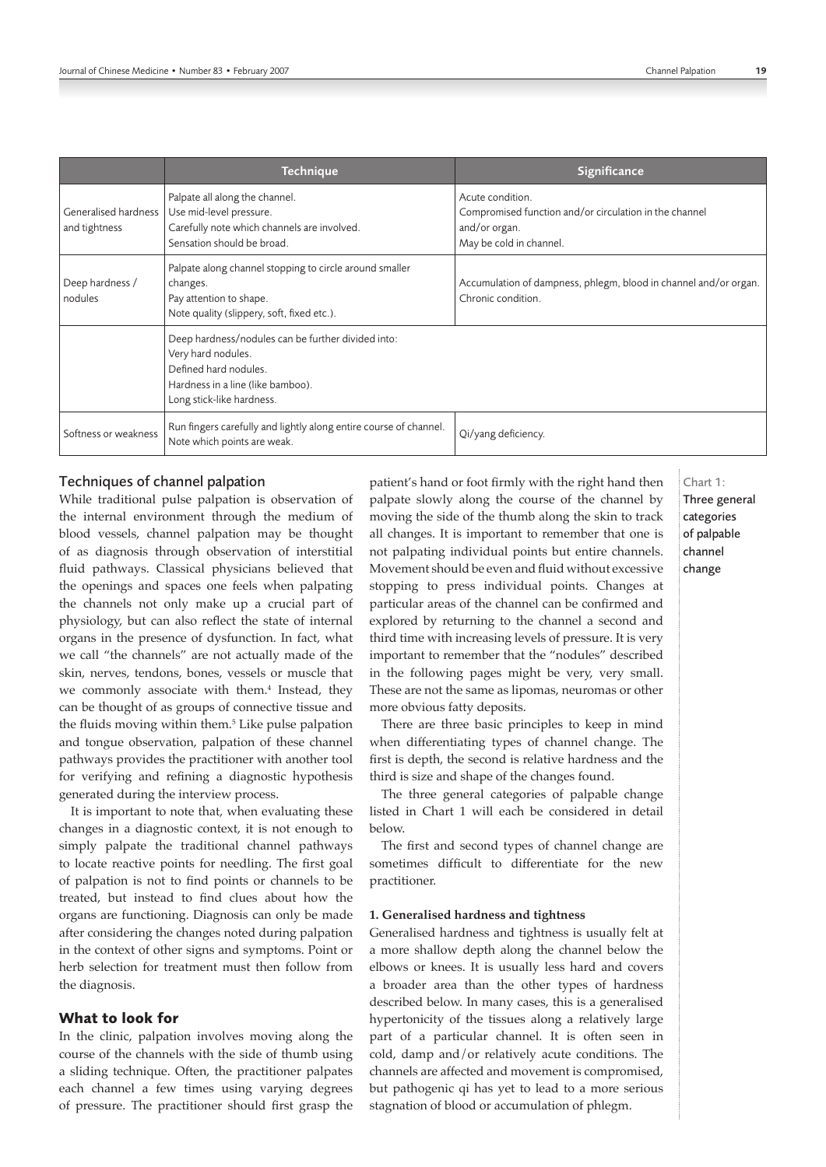|                                       | <b>Technique</b>                                                                                                                                                    | Significance                                                                                                           |
|---------------------------------------|---------------------------------------------------------------------------------------------------------------------------------------------------------------------|------------------------------------------------------------------------------------------------------------------------|
| Generalised hardness<br>and tightness | Palpate all along the channel.<br>Use mid-level pressure.<br>Carefully note which channels are involved.<br>Sensation should be broad.                              | Acute condition.<br>Compromised function and/or circulation in the channel<br>and/or organ.<br>May be cold in channel. |
| Deep hardness /<br>nodules            | Palpate along channel stopping to circle around smaller<br>changes.<br>Pay attention to shape.<br>Note quality (slippery, soft, fixed etc.).                        | Accumulation of dampness, phlegm, blood in channel and/or organ.<br>Chronic condition.                                 |
|                                       | Deep hardness/nodules can be further divided into:<br>Very hard nodules.<br>Defined hard nodules.<br>Hardness in a line (like bamboo).<br>Long stick-like hardness. |                                                                                                                        |
| Softness or weakness                  | Run fingers carefully and lightly along entire course of channel.<br>Note which points are weak.                                                                    | Qi/yang deficiency.                                                                                                    |

# Techniques of channel palpation

While traditional pulse palpation is observation of the internal environment through the medium of blood vessels, channel palpation may be thought of as diagnosis through observation of interstitial fluid pathways. Classical physicians believed that the openings and spaces one feels when palpating the channels not only make up a crucial part of physiology, but can also reflect the state of internal organs in the presence of dysfunction. In fact, what we call "the channels" are not actually made of the skin, nerves, tendons, bones, vessels or muscle that we commonly associate with them.<sup>4</sup> Instead, they can be thought of as groups of connective tissue and the fluids moving within them.<sup>5</sup> Like pulse palpation and tongue observation, palpation of these channel pathways provides the practitioner with another tool for verifying and refining a diagnostic hypothesis generated during the interview process.

It is important to note that, when evaluating these changes in a diagnostic context, it is not enough to simply palpate the traditional channel pathways to locate reactive points for needling. The first goal of palpation is not to find points or channels to be treated, but instead to find clues about how the organs are functioning. Diagnosis can only be made after considering the changes noted during palpation in the context of other signs and symptoms. Point or herb selection for treatment must then follow from the diagnosis.

## **What to look for**

In the clinic, palpation involves moving along the course of the channels with the side of thumb using a sliding technique. Often, the practitioner palpates each channel a few times using varying degrees of pressure. The practitioner should first grasp the patient's hand or foot firmly with the right hand then palpate slowly along the course of the channel by moving the side of the thumb along the skin to track all changes. It is important to remember that one is not palpating individual points but entire channels. Movement should be even and fluid without excessive stopping to press individual points. Changes at particular areas of the channel can be confirmed and explored by returning to the channel a second and third time with increasing levels of pressure. It is very important to remember that the "nodules" described in the following pages might be very, very small. These are not the same as lipomas, neuromas or other more obvious fatty deposits.

There are three basic principles to keep in mind when differentiating types of channel change. The first is depth, the second is relative hardness and the third is size and shape of the changes found.

The three general categories of palpable change listed in Chart 1 will each be considered in detail below.

The first and second types of channel change are sometimes difficult to differentiate for the new practitioner.

## **1. Generalised hardness and tightness**

Generalised hardness and tightness is usually felt at a more shallow depth along the channel below the elbows or knees. It is usually less hard and covers a broader area than the other types of hardness described below. In many cases, this is a generalised hypertonicity of the tissues along a relatively large part of a particular channel. It is often seen in cold, damp and/or relatively acute conditions. The channels are affected and movement is compromised, but pathogenic qi has yet to lead to a more serious stagnation of blood or accumulation of phlegm.

# Chart 1: Three general categories of palpable channel change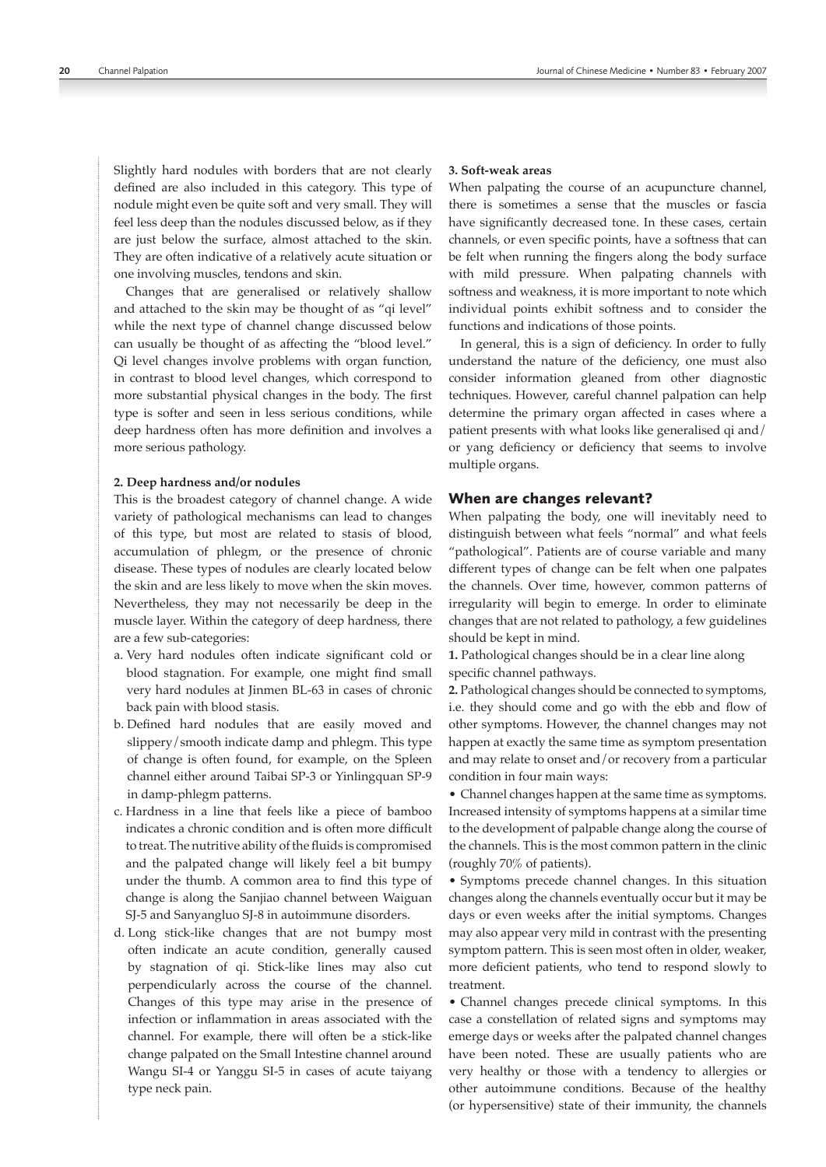Slightly hard nodules with borders that are not clearly defined are also included in this category. This type of nodule might even be quite soft and very small. They will feel less deep than the nodules discussed below, as if they are just below the surface, almost attached to the skin. They are often indicative of a relatively acute situation or one involving muscles, tendons and skin.

Changes that are generalised or relatively shallow and attached to the skin may be thought of as "qi level" while the next type of channel change discussed below can usually be thought of as affecting the "blood level." Qi level changes involve problems with organ function, in contrast to blood level changes, which correspond to more substantial physical changes in the body. The first type is softer and seen in less serious conditions, while deep hardness often has more definition and involves a more serious pathology.

## **2. Deep hardness and/or nodules**

This is the broadest category of channel change. A wide variety of pathological mechanisms can lead to changes of this type, but most are related to stasis of blood, accumulation of phlegm, or the presence of chronic disease. These types of nodules are clearly located below the skin and are less likely to move when the skin moves. Nevertheless, they may not necessarily be deep in the muscle layer. Within the category of deep hardness, there are a few sub-categories:

- a. Very hard nodules often indicate significant cold or blood stagnation. For example, one might find small very hard nodules at Jinmen BL-63 in cases of chronic back pain with blood stasis.
- b. Defined hard nodules that are easily moved and slippery/smooth indicate damp and phlegm. This type of change is often found, for example, on the Spleen channel either around Taibai SP-3 or Yinlingquan SP-9 in damp-phlegm patterns.
- c. Hardness in a line that feels like a piece of bamboo indicates a chronic condition and is often more difficult to treat. The nutritive ability of the fluids is compromised and the palpated change will likely feel a bit bumpy under the thumb. A common area to find this type of change is along the Sanjiao channel between Waiguan SJ-5 and Sanyangluo SJ-8 in autoimmune disorders.
- d. Long stick-like changes that are not bumpy most often indicate an acute condition, generally caused by stagnation of qi. Stick-like lines may also cut perpendicularly across the course of the channel. Changes of this type may arise in the presence of infection or inflammation in areas associated with the channel. For example, there will often be a stick-like change palpated on the Small Intestine channel around Wangu SI-4 or Yanggu SI-5 in cases of acute taiyang type neck pain.

## **3. Soft-weak areas**

When palpating the course of an acupuncture channel, there is sometimes a sense that the muscles or fascia have significantly decreased tone. In these cases, certain channels, or even specific points, have a softness that can be felt when running the fingers along the body surface with mild pressure. When palpating channels with softness and weakness, it is more important to note which individual points exhibit softness and to consider the functions and indications of those points.

In general, this is a sign of deficiency. In order to fully understand the nature of the deficiency, one must also consider information gleaned from other diagnostic techniques. However, careful channel palpation can help determine the primary organ affected in cases where a patient presents with what looks like generalised qi and/ or yang deficiency or deficiency that seems to involve multiple organs.

## **When are changes relevant?**

When palpating the body, one will inevitably need to distinguish between what feels "normal" and what feels "pathological". Patients are of course variable and many different types of change can be felt when one palpates the channels. Over time, however, common patterns of irregularity will begin to emerge. In order to eliminate changes that are not related to pathology, a few guidelines should be kept in mind.

**1.** Pathological changes should be in a clear line along specific channel pathways.

**2.** Pathological changes should be connected to symptoms, i.e. they should come and go with the ebb and flow of other symptoms. However, the channel changes may not happen at exactly the same time as symptom presentation and may relate to onset and/or recovery from a particular condition in four main ways:

• Channel changes happen at the same time as symptoms. Increased intensity of symptoms happens at a similar time to the development of palpable change along the course of the channels. This is the most common pattern in the clinic (roughly 70% of patients).

• Symptoms precede channel changes. In this situation changes along the channels eventually occur but it may be days or even weeks after the initial symptoms. Changes may also appear very mild in contrast with the presenting symptom pattern. This is seen most often in older, weaker, more deficient patients, who tend to respond slowly to treatment.

• Channel changes precede clinical symptoms. In this case a constellation of related signs and symptoms may emerge days or weeks after the palpated channel changes have been noted. These are usually patients who are very healthy or those with a tendency to allergies or other autoimmune conditions. Because of the healthy (or hypersensitive) state of their immunity, the channels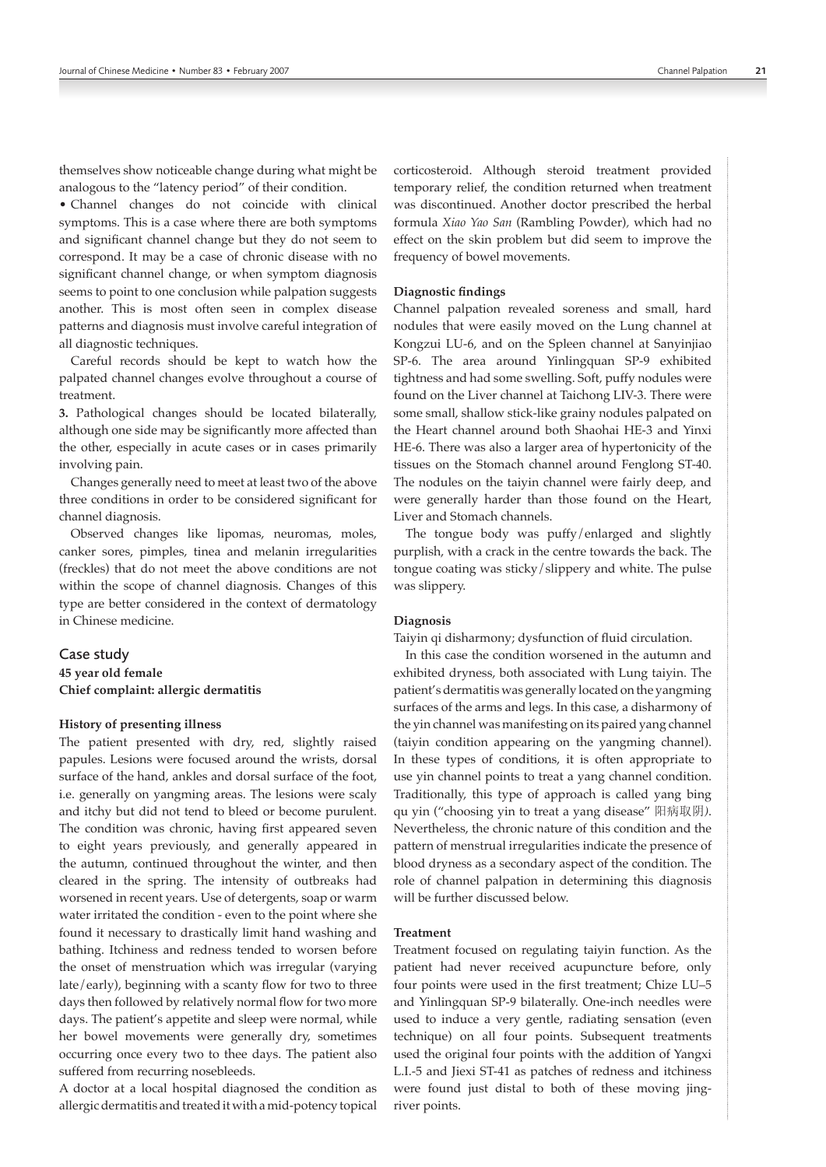themselves show noticeable change during what might be analogous to the "latency period" of their condition.

• Channel changes do not coincide with clinical symptoms. This is a case where there are both symptoms and significant channel change but they do not seem to correspond. It may be a case of chronic disease with no significant channel change, or when symptom diagnosis seems to point to one conclusion while palpation suggests another. This is most often seen in complex disease patterns and diagnosis must involve careful integration of all diagnostic techniques.

Careful records should be kept to watch how the palpated channel changes evolve throughout a course of treatment.

**3.** Pathological changes should be located bilaterally, although one side may be significantly more affected than the other, especially in acute cases or in cases primarily involving pain.

Changes generally need to meet at least two of the above three conditions in order to be considered significant for channel diagnosis.

Observed changes like lipomas, neuromas, moles, canker sores, pimples, tinea and melanin irregularities (freckles) that do not meet the above conditions are not within the scope of channel diagnosis. Changes of this type are better considered in the context of dermatology in Chinese medicine.

# Case study **45 year old female Chief complaint: allergic dermatitis**

## **History of presenting illness**

The patient presented with dry, red, slightly raised papules. Lesions were focused around the wrists, dorsal surface of the hand, ankles and dorsal surface of the foot, i.e. generally on yangming areas. The lesions were scaly and itchy but did not tend to bleed or become purulent. The condition was chronic, having first appeared seven to eight years previously, and generally appeared in the autumn, continued throughout the winter, and then cleared in the spring. The intensity of outbreaks had worsened in recent years. Use of detergents, soap or warm water irritated the condition - even to the point where she found it necessary to drastically limit hand washing and bathing. Itchiness and redness tended to worsen before the onset of menstruation which was irregular (varying late/early), beginning with a scanty flow for two to three days then followed by relatively normal flow for two more days. The patient's appetite and sleep were normal, while her bowel movements were generally dry, sometimes occurring once every two to thee days. The patient also suffered from recurring nosebleeds.

A doctor at a local hospital diagnosed the condition as allergic dermatitis and treated it with a mid-potency topical corticosteroid. Although steroid treatment provided temporary relief, the condition returned when treatment was discontinued. Another doctor prescribed the herbal formula *Xiao Yao San* (Rambling Powder)*,* which had no effect on the skin problem but did seem to improve the frequency of bowel movements.

## **Diagnostic findings**

Channel palpation revealed soreness and small, hard nodules that were easily moved on the Lung channel at Kongzui LU-6, and on the Spleen channel at Sanyinjiao SP-6. The area around Yinlingquan SP-9 exhibited tightness and had some swelling. Soft, puffy nodules were found on the Liver channel at Taichong LIV-3. There were some small, shallow stick-like grainy nodules palpated on the Heart channel around both Shaohai HE-3 and Yinxi HE-6. There was also a larger area of hypertonicity of the tissues on the Stomach channel around Fenglong ST-40. The nodules on the taiyin channel were fairly deep, and were generally harder than those found on the Heart, Liver and Stomach channels.

The tongue body was puffy/enlarged and slightly purplish, with a crack in the centre towards the back. The tongue coating was sticky/slippery and white. The pulse was slippery.

## **Diagnosis**

Taiyin qi disharmony; dysfunction of fluid circulation.

In this case the condition worsened in the autumn and exhibited dryness, both associated with Lung taiyin. The patient's dermatitis was generally located on the yangming surfaces of the arms and legs. In this case, a disharmony of the yin channel was manifesting on its paired yang channel (taiyin condition appearing on the yangming channel). In these types of conditions, it is often appropriate to use yin channel points to treat a yang channel condition. Traditionally, this type of approach is called yang bing qu yin ("choosing yin to treat a yang disease" 阳病取阴*)*. Nevertheless, the chronic nature of this condition and the pattern of menstrual irregularities indicate the presence of blood dryness as a secondary aspect of the condition. The role of channel palpation in determining this diagnosis will be further discussed below.

## **Treatment**

Treatment focused on regulating taiyin function. As the patient had never received acupuncture before, only four points were used in the first treatment; Chize LU–5 and Yinlingquan SP-9 bilaterally. One-inch needles were used to induce a very gentle, radiating sensation (even technique) on all four points. Subsequent treatments used the original four points with the addition of Yangxi L.I.-5 and Jiexi ST-41 as patches of redness and itchiness were found just distal to both of these moving jingriver points.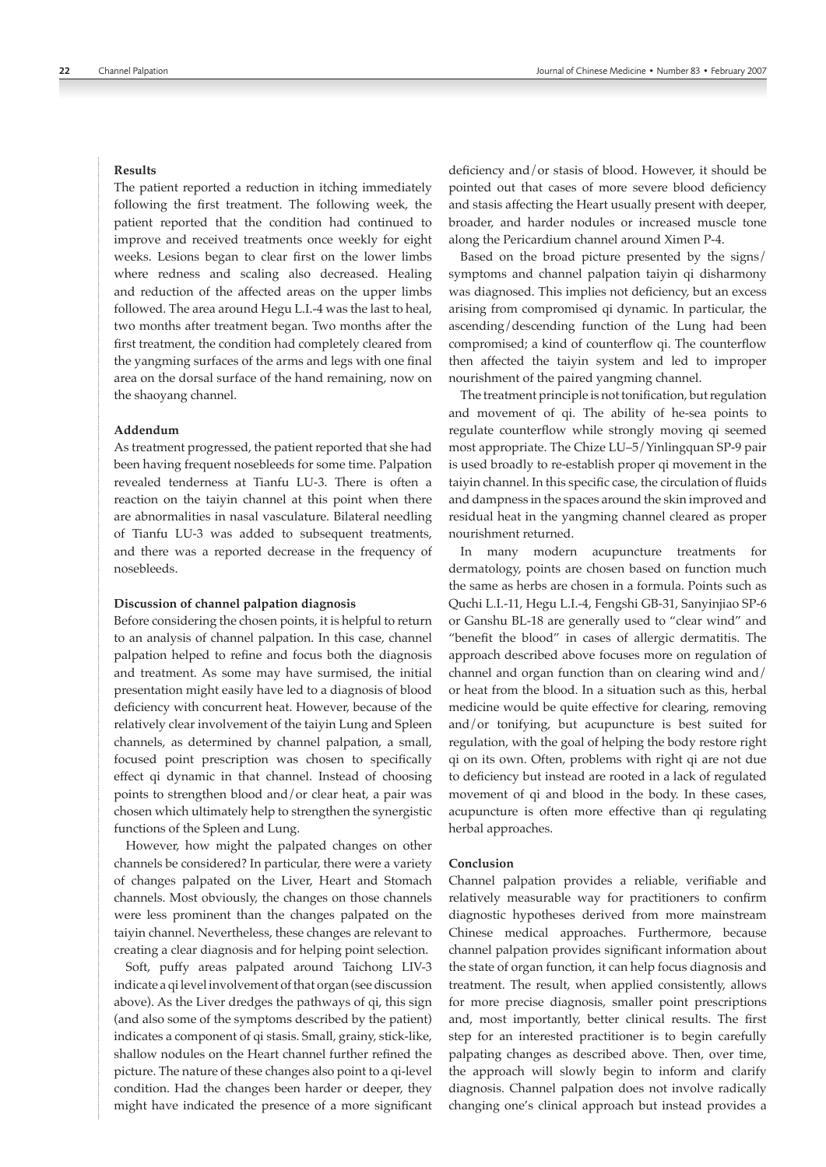## **Results**

The patient reported a reduction in itching immediately following the first treatment. The following week, the patient reported that the condition had continued to improve and received treatments once weekly for eight weeks. Lesions began to clear first on the lower limbs where redness and scaling also decreased. Healing and reduction of the affected areas on the upper limbs followed. The area around Hegu L.I.-4 was the last to heal, two months after treatment began. Two months after the first treatment, the condition had completely cleared from the yangming surfaces of the arms and legs with one final area on the dorsal surface of the hand remaining, now on the shaoyang channel.

## **Addendum**

As treatment progressed, the patient reported that she had been having frequent nosebleeds for some time. Palpation revealed tenderness at Tianfu LU-3. There is often a reaction on the taiyin channel at this point when there are abnormalities in nasal vasculature. Bilateral needling of Tianfu LU-3 was added to subsequent treatments, and there was a reported decrease in the frequency of nosebleeds.

## **Discussion of channel palpation diagnosis**

Before considering the chosen points, it is helpful to return to an analysis of channel palpation. In this case, channel palpation helped to refine and focus both the diagnosis and treatment. As some may have surmised, the initial presentation might easily have led to a diagnosis of blood deficiency with concurrent heat. However, because of the relatively clear involvement of the taiyin Lung and Spleen channels, as determined by channel palpation, a small, focused point prescription was chosen to specifically effect qi dynamic in that channel. Instead of choosing points to strengthen blood and/or clear heat, a pair was chosen which ultimately help to strengthen the synergistic functions of the Spleen and Lung.

However, how might the palpated changes on other channels be considered? In particular, there were a variety of changes palpated on the Liver, Heart and Stomach channels. Most obviously, the changes on those channels were less prominent than the changes palpated on the taiyin channel. Nevertheless, these changes are relevant to creating a clear diagnosis and for helping point selection.

Soft, puffy areas palpated around Taichong LIV-3 indicate a qi level involvement of that organ (see discussion above). As the Liver dredges the pathways of qi, this sign (and also some of the symptoms described by the patient) indicates a component of qi stasis. Small, grainy, stick-like, shallow nodules on the Heart channel further refined the picture. The nature of these changes also point to a qi-level condition. Had the changes been harder or deeper, they might have indicated the presence of a more significant deficiency and/or stasis of blood. However, it should be pointed out that cases of more severe blood deficiency and stasis affecting the Heart usually present with deeper, broader, and harder nodules or increased muscle tone along the Pericardium channel around Ximen P-4.

Based on the broad picture presented by the signs/ symptoms and channel palpation taiyin qi disharmony was diagnosed. This implies not deficiency, but an excess arising from compromised qi dynamic. In particular, the ascending/descending function of the Lung had been compromised; a kind of counterflow qi. The counterflow then affected the taiyin system and led to improper nourishment of the paired yangming channel.

The treatment principle is not tonification, but regulation and movement of qi. The ability of he-sea points to regulate counterflow while strongly moving qi seemed most appropriate. The Chize LU–5/Yinlingquan SP-9 pair is used broadly to re-establish proper qi movement in the taiyin channel. In this specific case, the circulation of fluids and dampness in the spaces around the skin improved and residual heat in the yangming channel cleared as proper nourishment returned.

In many modern acupuncture treatments for dermatology, points are chosen based on function much the same as herbs are chosen in a formula. Points such as Quchi L.I.-11, Hegu L.I.-4, Fengshi GB-31, Sanyinjiao SP-6 or Ganshu BL-18 are generally used to "clear wind" and "benefit the blood" in cases of allergic dermatitis. The approach described above focuses more on regulation of channel and organ function than on clearing wind and/ or heat from the blood. In a situation such as this, herbal medicine would be quite effective for clearing, removing and/or tonifying, but acupuncture is best suited for regulation, with the goal of helping the body restore right qi on its own. Often, problems with right qi are not due to deficiency but instead are rooted in a lack of regulated movement of qi and blood in the body. In these cases, acupuncture is often more effective than qi regulating herbal approaches.

## **Conclusion**

Channel palpation provides a reliable, verifiable and relatively measurable way for practitioners to confirm diagnostic hypotheses derived from more mainstream Chinese medical approaches. Furthermore, because channel palpation provides significant information about the state of organ function, it can help focus diagnosis and treatment. The result, when applied consistently, allows for more precise diagnosis, smaller point prescriptions and, most importantly, better clinical results. The first step for an interested practitioner is to begin carefully palpating changes as described above. Then, over time, the approach will slowly begin to inform and clarify diagnosis. Channel palpation does not involve radically changing one's clinical approach but instead provides a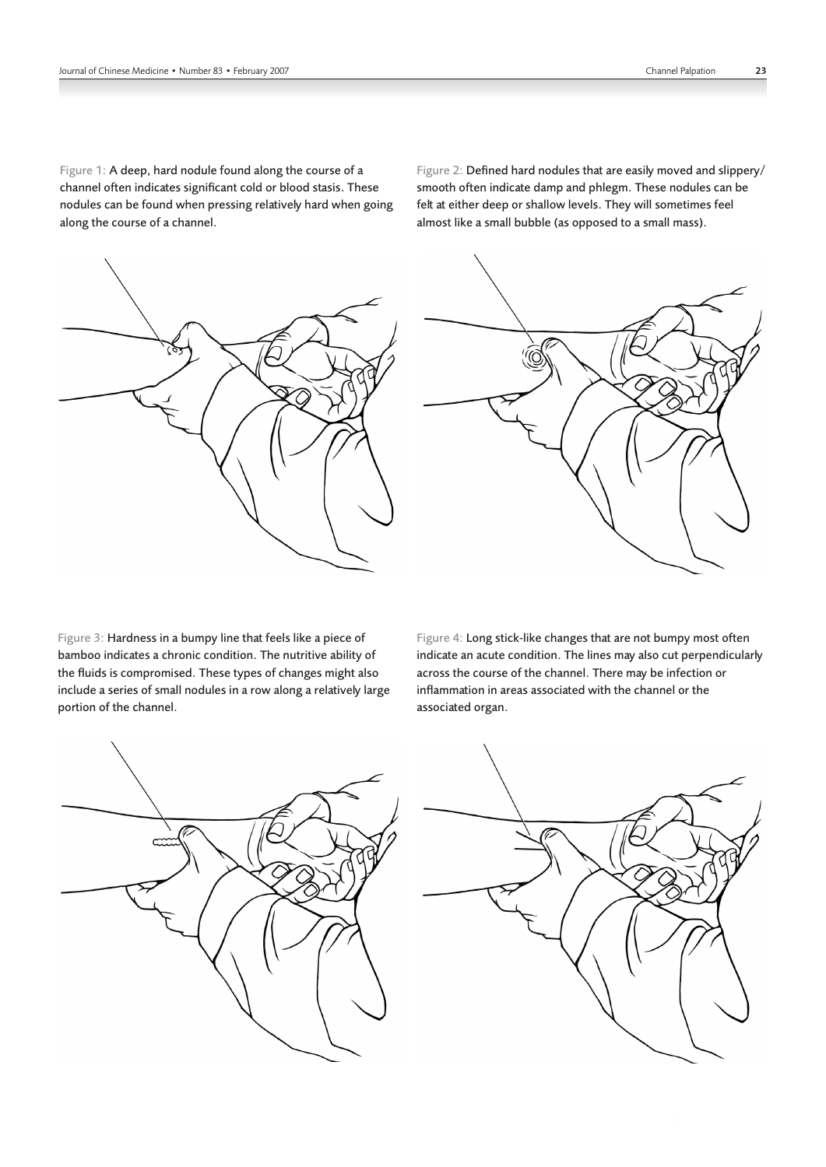Figure 1: A deep, hard nodule found along the course of a channel often indicates significant cold or blood stasis. These nodules can be found when pressing relatively hard when going along the course of a channel.

Figure 2: Defined hard nodules that are easily moved and slippery/ smooth often indicate damp and phlegm. These nodules can be felt at either deep or shallow levels. They will sometimes feel almost like a small bubble (as opposed to a small mass).





Figure 3: Hardness in a bumpy line that feels like a piece of bamboo indicates a chronic condition. The nutritive ability of the fluids is compromised. These types of changes might also include a series of small nodules in a row along a relatively large portion of the channel.

Figure 4: Long stick-like changes that are not bumpy most often indicate an acute condition. The lines may also cut perpendicularly across the course of the channel. There may be infection or inflammation in areas associated with the channel or the associated organ.